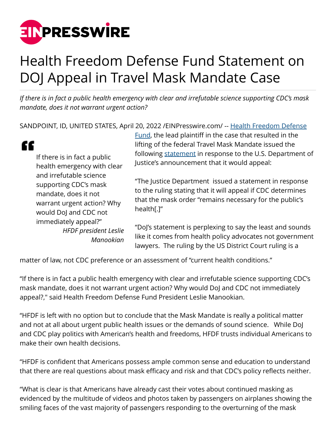

## Health Freedom Defense Fund Statement on DOJ Appeal in Travel Mask Mandate Case

*If there is in fact a public health emergency with clear and irrefutable science supporting CDC's mask mandate, does it not warrant urgent action?*

SANDPOINT, ID, UNITED STATES, April 20, 2022 [/EINPresswire.com/](http://www.einpresswire.com) -- [Health Freedom Defense](https://healthfreedomdefense.org/)

[Fund](https://healthfreedomdefense.org/), the lead plaintiff in the case that resulted in the

| If there is in fact a public<br>health emergency with clear<br>and irrefutable science<br>supporting CDC's mask<br>mandate, does it not<br>warrant urgent action? Why<br>would DoJ and CDC not | lifting of the federal Travel Mask Mandate issued the<br>following statement in response to the U.S. Department of<br>Justice's announcement that it would appeal:                             |
|------------------------------------------------------------------------------------------------------------------------------------------------------------------------------------------------|------------------------------------------------------------------------------------------------------------------------------------------------------------------------------------------------|
|                                                                                                                                                                                                | "The Justice Department issued a statement in response<br>to the ruling stating that it will appeal if CDC determines<br>that the mask order "remains necessary for the public's<br>health[.]" |
| immediately appeal?"<br><b>HFDF</b> president Leslie<br>Manookian                                                                                                                              | "DoJ's statement is perplexing to say the least and sounds<br>like it comes from health policy advocates not government<br>lawyers. The ruling by the US District Court ruling is a            |

matter of law, not CDC preference or an assessment of "current health conditions."

"If there is in fact a public health emergency with clear and irrefutable science supporting CDC's mask mandate, does it not warrant urgent action? Why would DoJ and CDC not immediately appeal?," said Health Freedom Defense Fund President Leslie Manookian.

"HFDF is left with no option but to conclude that the Mask Mandate is really a political matter and not at all about urgent public health issues or the demands of sound science. While DoJ and CDC play politics with American's health and freedoms, HFDF trusts individual Americans to make their own health decisions.

"HFDF is confident that Americans possess ample common sense and education to understand that there are real questions about mask efficacy and risk and that CDC's policy reflects neither.

"What is clear is that Americans have already cast their votes about continued masking as evidenced by the multitude of videos and photos taken by passengers on airplanes showing the smiling faces of the vast majority of passengers responding to the overturning of the mask